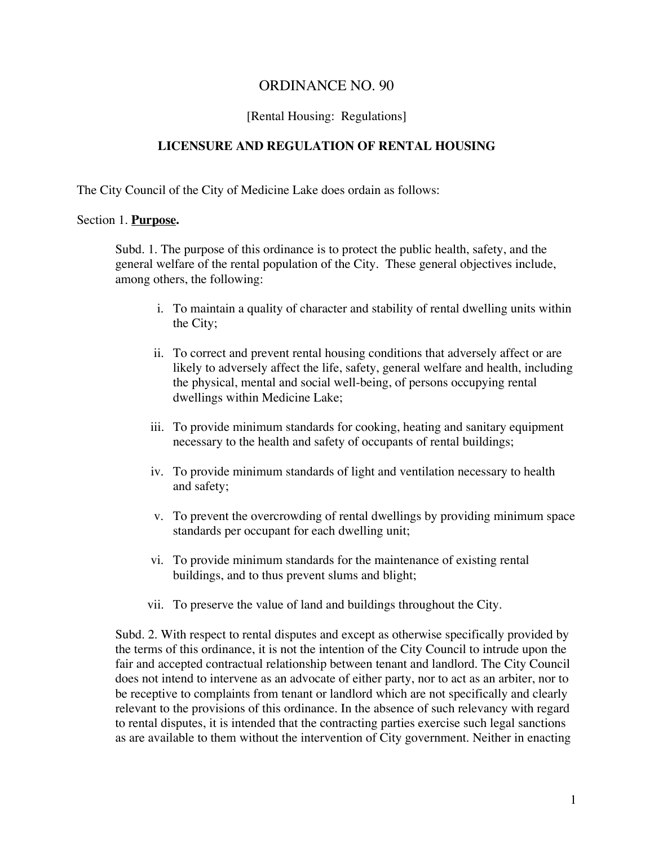# ORDINANCE NO. 90

#### [Rental Housing: Regulations]

### **LICENSURE AND REGULATION OF RENTAL HOUSING**

The City Council of the City of Medicine Lake does ordain as follows:

#### Section 1. **Purpose.**

Subd. 1. The purpose of this ordinance is to protect the public health, safety, and the general welfare of the rental population of the City. These general objectives include, among others, the following:

- i. To maintain a quality of character and stability of rental dwelling units within the City;
- ii. To correct and prevent rental housing conditions that adversely affect or are likely to adversely affect the life, safety, general welfare and health, including the physical, mental and social well-being, of persons occupying rental dwellings within Medicine Lake;
- iii. To provide minimum standards for cooking, heating and sanitary equipment necessary to the health and safety of occupants of rental buildings;
- iv. To provide minimum standards of light and ventilation necessary to health and safety;
- v. To prevent the overcrowding of rental dwellings by providing minimum space standards per occupant for each dwelling unit;
- vi. To provide minimum standards for the maintenance of existing rental buildings, and to thus prevent slums and blight;
- vii. To preserve the value of land and buildings throughout the City.

Subd. 2. With respect to rental disputes and except as otherwise specifically provided by the terms of this ordinance, it is not the intention of the City Council to intrude upon the fair and accepted contractual relationship between tenant and landlord. The City Council does not intend to intervene as an advocate of either party, nor to act as an arbiter, nor to be receptive to complaints from tenant or landlord which are not specifically and clearly relevant to the provisions of this ordinance. In the absence of such relevancy with regard to rental disputes, it is intended that the contracting parties exercise such legal sanctions as are available to them without the intervention of City government. Neither in enacting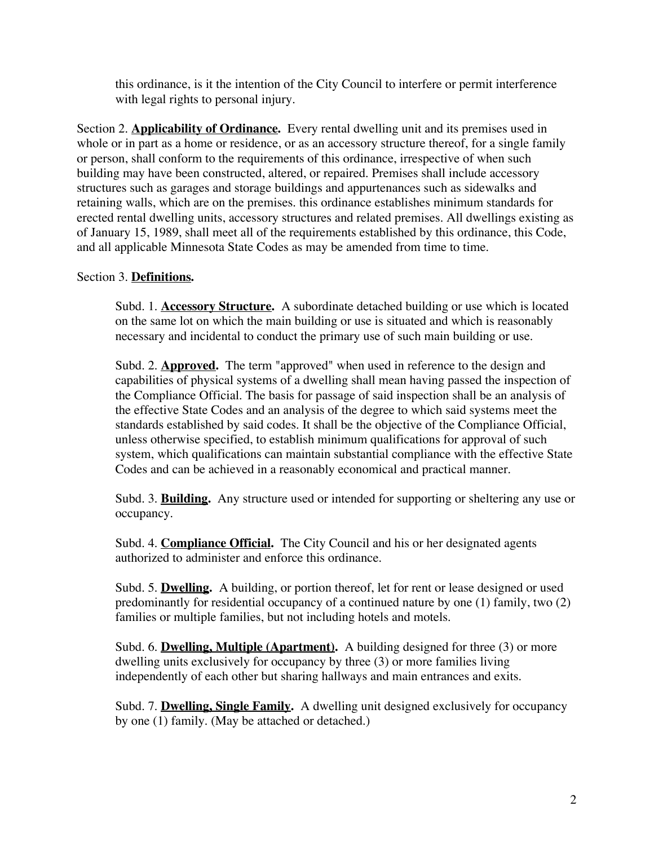this ordinance, is it the intention of the City Council to interfere or permit interference with legal rights to personal injury.

Section 2. **Applicability of Ordinance.** Every rental dwelling unit and its premises used in whole or in part as a home or residence, or as an accessory structure thereof, for a single family or person, shall conform to the requirements of this ordinance, irrespective of when such building may have been constructed, altered, or repaired. Premises shall include accessory structures such as garages and storage buildings and appurtenances such as sidewalks and retaining walls, which are on the premises. this ordinance establishes minimum standards for erected rental dwelling units, accessory structures and related premises. All dwellings existing as of January 15, 1989, shall meet all of the requirements established by this ordinance, this Code, and all applicable Minnesota State Codes as may be amended from time to time.

# Section 3. **Definitions.**

Subd. 1. **Accessory Structure.** A subordinate detached building or use which is located on the same lot on which the main building or use is situated and which is reasonably necessary and incidental to conduct the primary use of such main building or use.

Subd. 2. **Approved.** The term "approved" when used in reference to the design and capabilities of physical systems of a dwelling shall mean having passed the inspection of the Compliance Official. The basis for passage of said inspection shall be an analysis of the effective State Codes and an analysis of the degree to which said systems meet the standards established by said codes. It shall be the objective of the Compliance Official, unless otherwise specified, to establish minimum qualifications for approval of such system, which qualifications can maintain substantial compliance with the effective State Codes and can be achieved in a reasonably economical and practical manner.

Subd. 3. **Building.** Any structure used or intended for supporting or sheltering any use or occupancy.

Subd. 4. **Compliance Official.** The City Council and his or her designated agents authorized to administer and enforce this ordinance.

Subd. 5. **Dwelling.** A building, or portion thereof, let for rent or lease designed or used predominantly for residential occupancy of a continued nature by one (1) family, two (2) families or multiple families, but not including hotels and motels.

Subd. 6. **Dwelling, Multiple (Apartment).** A building designed for three (3) or more dwelling units exclusively for occupancy by three (3) or more families living independently of each other but sharing hallways and main entrances and exits.

Subd. 7. **Dwelling, Single Family.** A dwelling unit designed exclusively for occupancy by one (1) family. (May be attached or detached.)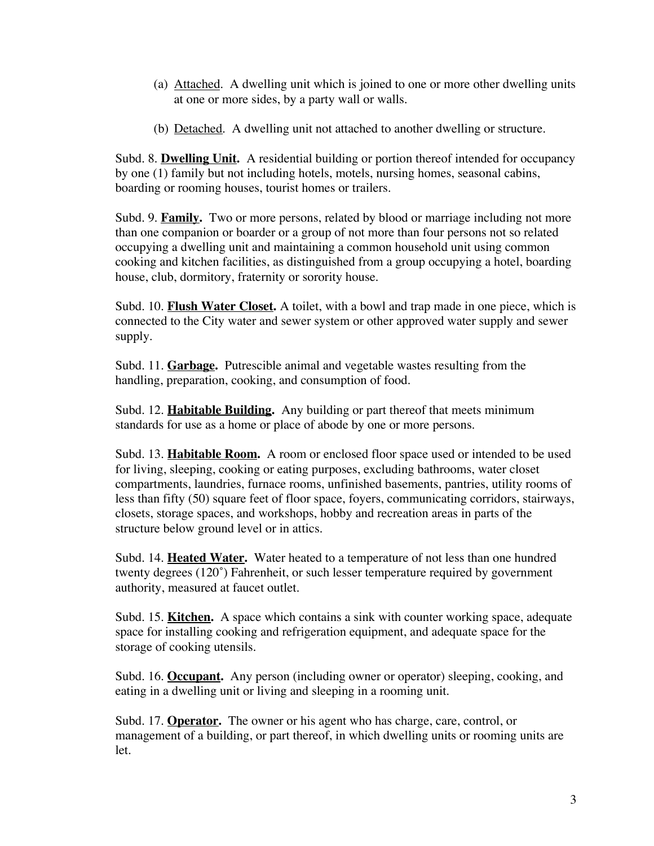- (a) Attached. A dwelling unit which is joined to one or more other dwelling units at one or more sides, by a party wall or walls.
- (b) Detached. A dwelling unit not attached to another dwelling or structure.

Subd. 8. **Dwelling Unit.** A residential building or portion thereof intended for occupancy by one (1) family but not including hotels, motels, nursing homes, seasonal cabins, boarding or rooming houses, tourist homes or trailers.

Subd. 9. **Family.** Two or more persons, related by blood or marriage including not more than one companion or boarder or a group of not more than four persons not so related occupying a dwelling unit and maintaining a common household unit using common cooking and kitchen facilities, as distinguished from a group occupying a hotel, boarding house, club, dormitory, fraternity or sorority house.

Subd. 10. **Flush Water Closet.** A toilet, with a bowl and trap made in one piece, which is connected to the City water and sewer system or other approved water supply and sewer supply.

Subd. 11. **Garbage.** Putrescible animal and vegetable wastes resulting from the handling, preparation, cooking, and consumption of food.

Subd. 12. **Habitable Building.** Any building or part thereof that meets minimum standards for use as a home or place of abode by one or more persons.

Subd. 13. **Habitable Room.** A room or enclosed floor space used or intended to be used for living, sleeping, cooking or eating purposes, excluding bathrooms, water closet compartments, laundries, furnace rooms, unfinished basements, pantries, utility rooms of less than fifty (50) square feet of floor space, foyers, communicating corridors, stairways, closets, storage spaces, and workshops, hobby and recreation areas in parts of the structure below ground level or in attics.

Subd. 14. **Heated Water.** Water heated to a temperature of not less than one hundred twenty degrees (120˚) Fahrenheit, or such lesser temperature required by government authority, measured at faucet outlet.

Subd. 15. **Kitchen.** A space which contains a sink with counter working space, adequate space for installing cooking and refrigeration equipment, and adequate space for the storage of cooking utensils.

Subd. 16. **Occupant.** Any person (including owner or operator) sleeping, cooking, and eating in a dwelling unit or living and sleeping in a rooming unit.

Subd. 17. **Operator.** The owner or his agent who has charge, care, control, or management of a building, or part thereof, in which dwelling units or rooming units are let.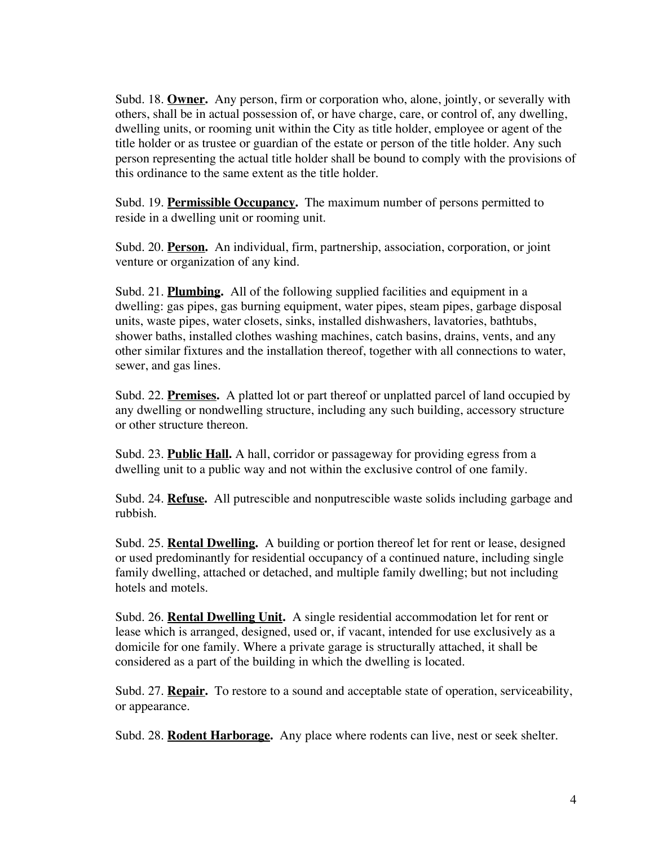Subd. 18. **Owner.** Any person, firm or corporation who, alone, jointly, or severally with others, shall be in actual possession of, or have charge, care, or control of, any dwelling, dwelling units, or rooming unit within the City as title holder, employee or agent of the title holder or as trustee or guardian of the estate or person of the title holder. Any such person representing the actual title holder shall be bound to comply with the provisions of this ordinance to the same extent as the title holder.

Subd. 19. **Permissible Occupancy.** The maximum number of persons permitted to reside in a dwelling unit or rooming unit.

Subd. 20. **Person.** An individual, firm, partnership, association, corporation, or joint venture or organization of any kind.

Subd. 21. **Plumbing.** All of the following supplied facilities and equipment in a dwelling: gas pipes, gas burning equipment, water pipes, steam pipes, garbage disposal units, waste pipes, water closets, sinks, installed dishwashers, lavatories, bathtubs, shower baths, installed clothes washing machines, catch basins, drains, vents, and any other similar fixtures and the installation thereof, together with all connections to water, sewer, and gas lines.

Subd. 22. **Premises.** A platted lot or part thereof or unplatted parcel of land occupied by any dwelling or nondwelling structure, including any such building, accessory structure or other structure thereon.

Subd. 23. **Public Hall.** A hall, corridor or passageway for providing egress from a dwelling unit to a public way and not within the exclusive control of one family.

Subd. 24. **Refuse.** All putrescible and nonputrescible waste solids including garbage and rubbish.

Subd. 25. **Rental Dwelling.** A building or portion thereof let for rent or lease, designed or used predominantly for residential occupancy of a continued nature, including single family dwelling, attached or detached, and multiple family dwelling; but not including hotels and motels.

Subd. 26. **Rental Dwelling Unit.** A single residential accommodation let for rent or lease which is arranged, designed, used or, if vacant, intended for use exclusively as a domicile for one family. Where a private garage is structurally attached, it shall be considered as a part of the building in which the dwelling is located.

Subd. 27. **Repair.** To restore to a sound and acceptable state of operation, serviceability, or appearance.

Subd. 28. **Rodent Harborage.** Any place where rodents can live, nest or seek shelter.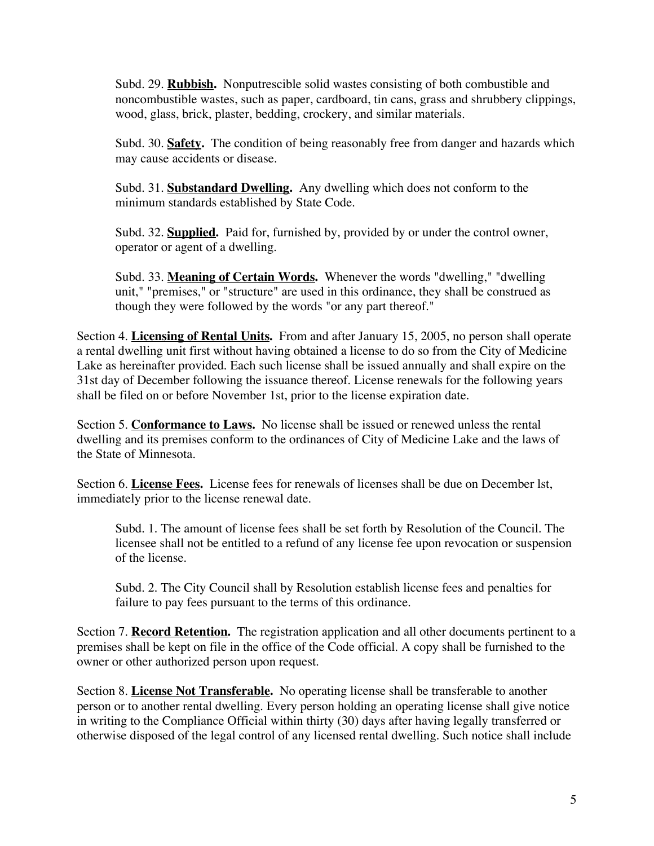Subd. 29. **Rubbish.** Nonputrescible solid wastes consisting of both combustible and noncombustible wastes, such as paper, cardboard, tin cans, grass and shrubbery clippings, wood, glass, brick, plaster, bedding, crockery, and similar materials.

Subd. 30. **Safety.** The condition of being reasonably free from danger and hazards which may cause accidents or disease.

Subd. 31. **Substandard Dwelling.** Any dwelling which does not conform to the minimum standards established by State Code.

Subd. 32. **Supplied.** Paid for, furnished by, provided by or under the control owner, operator or agent of a dwelling.

Subd. 33. **Meaning of Certain Words.** Whenever the words "dwelling," "dwelling unit," "premises," or "structure" are used in this ordinance, they shall be construed as though they were followed by the words "or any part thereof."

Section 4. **Licensing of Rental Units.** From and after January 15, 2005, no person shall operate a rental dwelling unit first without having obtained a license to do so from the City of Medicine Lake as hereinafter provided. Each such license shall be issued annually and shall expire on the 31st day of December following the issuance thereof. License renewals for the following years shall be filed on or before November 1st, prior to the license expiration date.

Section 5. **Conformance to Laws.** No license shall be issued or renewed unless the rental dwelling and its premises conform to the ordinances of City of Medicine Lake and the laws of the State of Minnesota.

Section 6. **License Fees.** License fees for renewals of licenses shall be due on December lst, immediately prior to the license renewal date.

Subd. 1. The amount of license fees shall be set forth by Resolution of the Council. The licensee shall not be entitled to a refund of any license fee upon revocation or suspension of the license.

Subd. 2. The City Council shall by Resolution establish license fees and penalties for failure to pay fees pursuant to the terms of this ordinance.

Section 7. **Record Retention.** The registration application and all other documents pertinent to a premises shall be kept on file in the office of the Code official. A copy shall be furnished to the owner or other authorized person upon request.

Section 8. **License Not Transferable.** No operating license shall be transferable to another person or to another rental dwelling. Every person holding an operating license shall give notice in writing to the Compliance Official within thirty (30) days after having legally transferred or otherwise disposed of the legal control of any licensed rental dwelling. Such notice shall include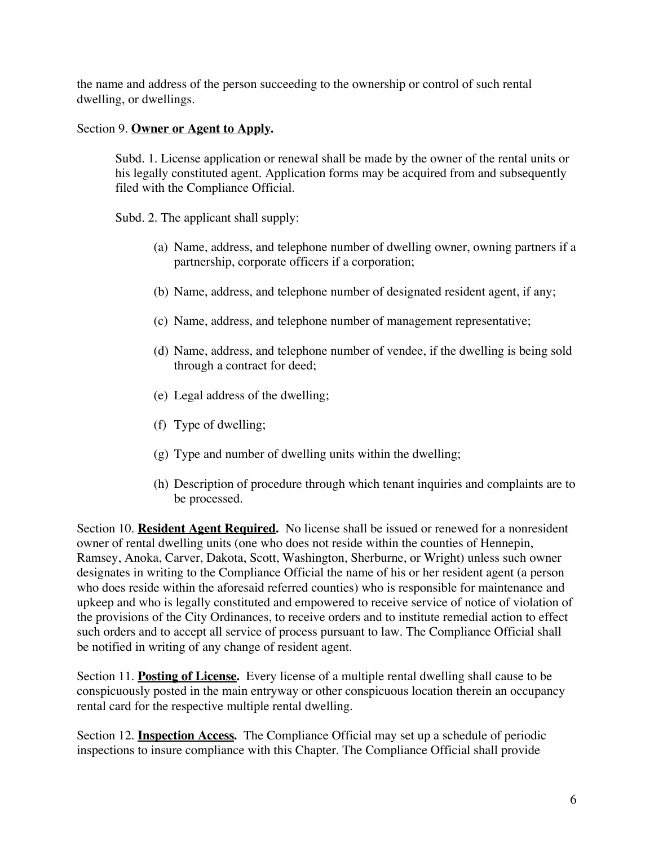the name and address of the person succeeding to the ownership or control of such rental dwelling, or dwellings.

# Section 9. **Owner or Agent to Apply.**

Subd. 1. License application or renewal shall be made by the owner of the rental units or his legally constituted agent. Application forms may be acquired from and subsequently filed with the Compliance Official.

Subd. 2. The applicant shall supply:

- (a) Name, address, and telephone number of dwelling owner, owning partners if a partnership, corporate officers if a corporation;
- (b) Name, address, and telephone number of designated resident agent, if any;
- (c) Name, address, and telephone number of management representative;
- (d) Name, address, and telephone number of vendee, if the dwelling is being sold through a contract for deed;
- (e) Legal address of the dwelling;
- (f) Type of dwelling;
- (g) Type and number of dwelling units within the dwelling;
- (h) Description of procedure through which tenant inquiries and complaints are to be processed.

Section 10. **Resident Agent Required.** No license shall be issued or renewed for a nonresident owner of rental dwelling units (one who does not reside within the counties of Hennepin, Ramsey, Anoka, Carver, Dakota, Scott, Washington, Sherburne, or Wright) unless such owner designates in writing to the Compliance Official the name of his or her resident agent (a person who does reside within the aforesaid referred counties) who is responsible for maintenance and upkeep and who is legally constituted and empowered to receive service of notice of violation of the provisions of the City Ordinances, to receive orders and to institute remedial action to effect such orders and to accept all service of process pursuant to law. The Compliance Official shall be notified in writing of any change of resident agent.

Section 11. **Posting of License.** Every license of a multiple rental dwelling shall cause to be conspicuously posted in the main entryway or other conspicuous location therein an occupancy rental card for the respective multiple rental dwelling.

Section 12. **Inspection Access.** The Compliance Official may set up a schedule of periodic inspections to insure compliance with this Chapter. The Compliance Official shall provide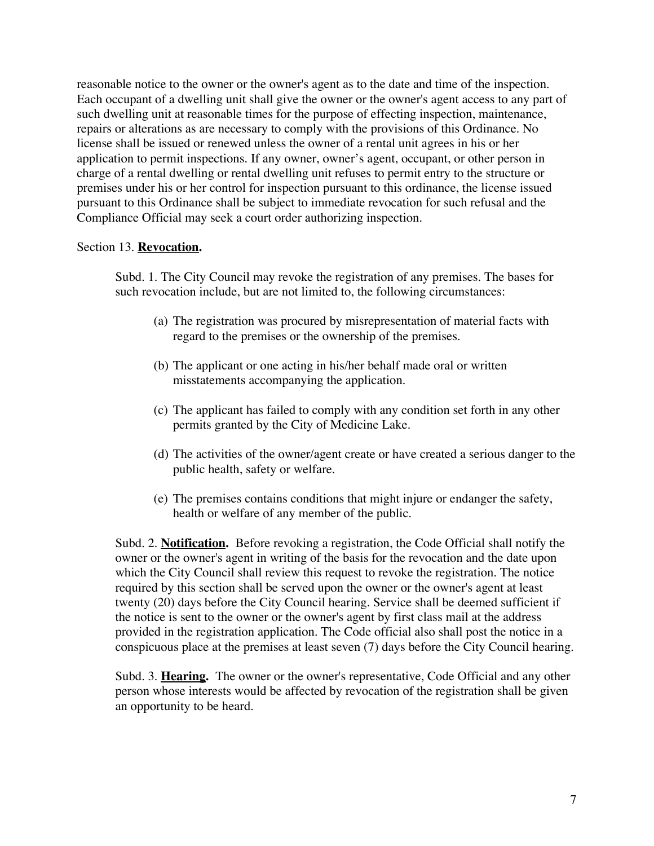reasonable notice to the owner or the owner's agent as to the date and time of the inspection. Each occupant of a dwelling unit shall give the owner or the owner's agent access to any part of such dwelling unit at reasonable times for the purpose of effecting inspection, maintenance, repairs or alterations as are necessary to comply with the provisions of this Ordinance. No license shall be issued or renewed unless the owner of a rental unit agrees in his or her application to permit inspections. If any owner, owner's agent, occupant, or other person in charge of a rental dwelling or rental dwelling unit refuses to permit entry to the structure or premises under his or her control for inspection pursuant to this ordinance, the license issued pursuant to this Ordinance shall be subject to immediate revocation for such refusal and the Compliance Official may seek a court order authorizing inspection.

#### Section 13. **Revocation.**

Subd. 1. The City Council may revoke the registration of any premises. The bases for such revocation include, but are not limited to, the following circumstances:

- (a) The registration was procured by misrepresentation of material facts with regard to the premises or the ownership of the premises.
- (b) The applicant or one acting in his/her behalf made oral or written misstatements accompanying the application.
- (c) The applicant has failed to comply with any condition set forth in any other permits granted by the City of Medicine Lake.
- (d) The activities of the owner/agent create or have created a serious danger to the public health, safety or welfare.
- (e) The premises contains conditions that might injure or endanger the safety, health or welfare of any member of the public.

Subd. 2. **Notification.** Before revoking a registration, the Code Official shall notify the owner or the owner's agent in writing of the basis for the revocation and the date upon which the City Council shall review this request to revoke the registration. The notice required by this section shall be served upon the owner or the owner's agent at least twenty (20) days before the City Council hearing. Service shall be deemed sufficient if the notice is sent to the owner or the owner's agent by first class mail at the address provided in the registration application. The Code official also shall post the notice in a conspicuous place at the premises at least seven (7) days before the City Council hearing.

Subd. 3. **Hearing.** The owner or the owner's representative, Code Official and any other person whose interests would be affected by revocation of the registration shall be given an opportunity to be heard.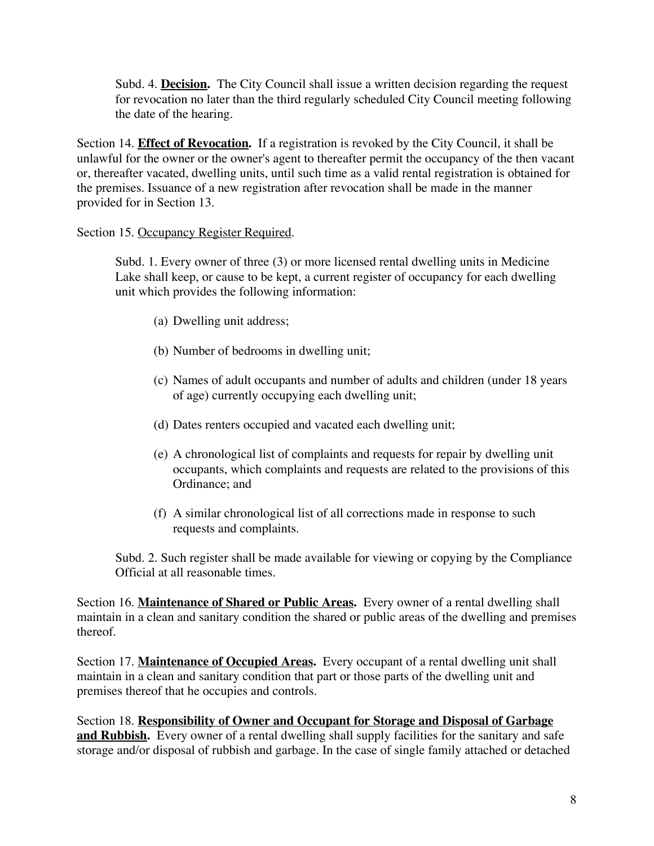Subd. 4. **Decision.** The City Council shall issue a written decision regarding the request for revocation no later than the third regularly scheduled City Council meeting following the date of the hearing.

Section 14. **Effect of Revocation.** If a registration is revoked by the City Council, it shall be unlawful for the owner or the owner's agent to thereafter permit the occupancy of the then vacant or, thereafter vacated, dwelling units, until such time as a valid rental registration is obtained for the premises. Issuance of a new registration after revocation shall be made in the manner provided for in Section 13.

Section 15. Occupancy Register Required.

Subd. 1. Every owner of three (3) or more licensed rental dwelling units in Medicine Lake shall keep, or cause to be kept, a current register of occupancy for each dwelling unit which provides the following information:

- (a) Dwelling unit address;
- (b) Number of bedrooms in dwelling unit;
- (c) Names of adult occupants and number of adults and children (under 18 years of age) currently occupying each dwelling unit;
- (d) Dates renters occupied and vacated each dwelling unit;
- (e) A chronological list of complaints and requests for repair by dwelling unit occupants, which complaints and requests are related to the provisions of this Ordinance; and
- (f) A similar chronological list of all corrections made in response to such requests and complaints.

Subd. 2. Such register shall be made available for viewing or copying by the Compliance Official at all reasonable times.

Section 16. **Maintenance of Shared or Public Areas.** Every owner of a rental dwelling shall maintain in a clean and sanitary condition the shared or public areas of the dwelling and premises thereof.

Section 17. **Maintenance of Occupied Areas.** Every occupant of a rental dwelling unit shall maintain in a clean and sanitary condition that part or those parts of the dwelling unit and premises thereof that he occupies and controls.

Section 18. **Responsibility of Owner and Occupant for Storage and Disposal of Garbage and Rubbish.** Every owner of a rental dwelling shall supply facilities for the sanitary and safe storage and/or disposal of rubbish and garbage. In the case of single family attached or detached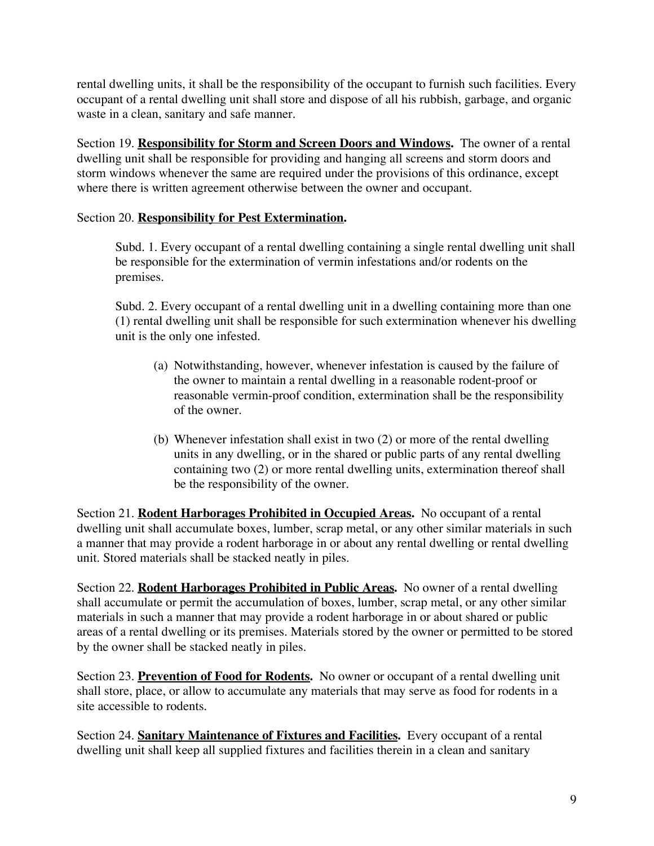rental dwelling units, it shall be the responsibility of the occupant to furnish such facilities. Every occupant of a rental dwelling unit shall store and dispose of all his rubbish, garbage, and organic waste in a clean, sanitary and safe manner.

Section 19. **Responsibility for Storm and Screen Doors and Windows.** The owner of a rental dwelling unit shall be responsible for providing and hanging all screens and storm doors and storm windows whenever the same are required under the provisions of this ordinance, except where there is written agreement otherwise between the owner and occupant.

# Section 20. **Responsibility for Pest Extermination.**

Subd. 1. Every occupant of a rental dwelling containing a single rental dwelling unit shall be responsible for the extermination of vermin infestations and/or rodents on the premises.

Subd. 2. Every occupant of a rental dwelling unit in a dwelling containing more than one (1) rental dwelling unit shall be responsible for such extermination whenever his dwelling unit is the only one infested.

- (a) Notwithstanding, however, whenever infestation is caused by the failure of the owner to maintain a rental dwelling in a reasonable rodent-proof or reasonable vermin-proof condition, extermination shall be the responsibility of the owner.
- (b) Whenever infestation shall exist in two (2) or more of the rental dwelling units in any dwelling, or in the shared or public parts of any rental dwelling containing two (2) or more rental dwelling units, extermination thereof shall be the responsibility of the owner.

Section 21. **Rodent Harborages Prohibited in Occupied Areas.** No occupant of a rental dwelling unit shall accumulate boxes, lumber, scrap metal, or any other similar materials in such a manner that may provide a rodent harborage in or about any rental dwelling or rental dwelling unit. Stored materials shall be stacked neatly in piles.

Section 22. **Rodent Harborages Prohibited in Public Areas.** No owner of a rental dwelling shall accumulate or permit the accumulation of boxes, lumber, scrap metal, or any other similar materials in such a manner that may provide a rodent harborage in or about shared or public areas of a rental dwelling or its premises. Materials stored by the owner or permitted to be stored by the owner shall be stacked neatly in piles.

Section 23. **Prevention of Food for Rodents.** No owner or occupant of a rental dwelling unit shall store, place, or allow to accumulate any materials that may serve as food for rodents in a site accessible to rodents.

Section 24. **Sanitary Maintenance of Fixtures and Facilities.** Every occupant of a rental dwelling unit shall keep all supplied fixtures and facilities therein in a clean and sanitary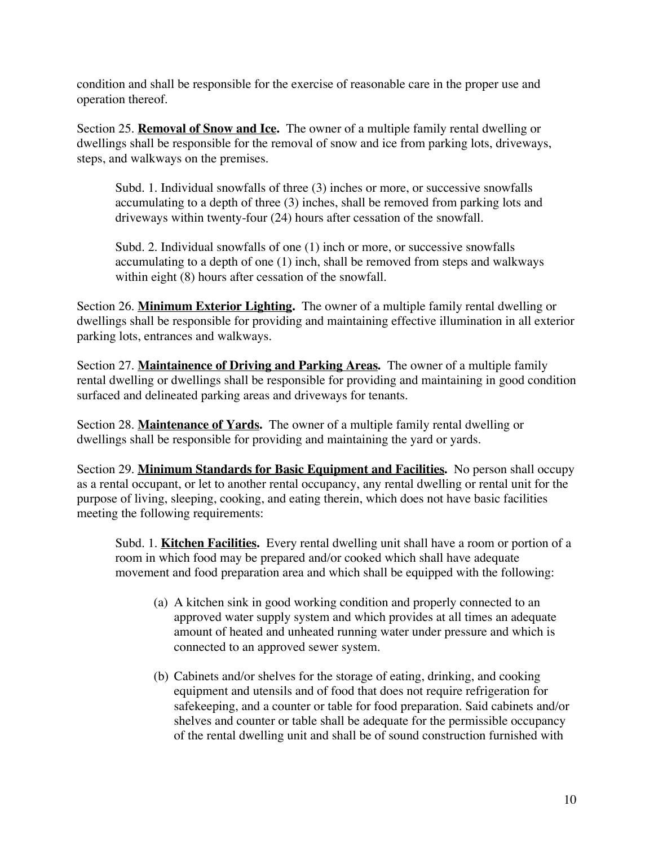condition and shall be responsible for the exercise of reasonable care in the proper use and operation thereof.

Section 25. **Removal of Snow and Ice.** The owner of a multiple family rental dwelling or dwellings shall be responsible for the removal of snow and ice from parking lots, driveways, steps, and walkways on the premises.

Subd. 1. Individual snowfalls of three (3) inches or more, or successive snowfalls accumulating to a depth of three (3) inches, shall be removed from parking lots and driveways within twenty-four (24) hours after cessation of the snowfall.

Subd. 2. Individual snowfalls of one (1) inch or more, or successive snowfalls accumulating to a depth of one (1) inch, shall be removed from steps and walkways within eight  $(8)$  hours after cessation of the snowfall.

Section 26. **Minimum Exterior Lighting.** The owner of a multiple family rental dwelling or dwellings shall be responsible for providing and maintaining effective illumination in all exterior parking lots, entrances and walkways.

Section 27. **Maintainence of Driving and Parking Areas.** The owner of a multiple family rental dwelling or dwellings shall be responsible for providing and maintaining in good condition surfaced and delineated parking areas and driveways for tenants.

Section 28. **Maintenance of Yards.** The owner of a multiple family rental dwelling or dwellings shall be responsible for providing and maintaining the yard or yards.

Section 29. **Minimum Standards for Basic Equipment and Facilities.** No person shall occupy as a rental occupant, or let to another rental occupancy, any rental dwelling or rental unit for the purpose of living, sleeping, cooking, and eating therein, which does not have basic facilities meeting the following requirements:

Subd. 1. **Kitchen Facilities.** Every rental dwelling unit shall have a room or portion of a room in which food may be prepared and/or cooked which shall have adequate movement and food preparation area and which shall be equipped with the following:

- (a) A kitchen sink in good working condition and properly connected to an approved water supply system and which provides at all times an adequate amount of heated and unheated running water under pressure and which is connected to an approved sewer system.
- (b) Cabinets and/or shelves for the storage of eating, drinking, and cooking equipment and utensils and of food that does not require refrigeration for safekeeping, and a counter or table for food preparation. Said cabinets and/or shelves and counter or table shall be adequate for the permissible occupancy of the rental dwelling unit and shall be of sound construction furnished with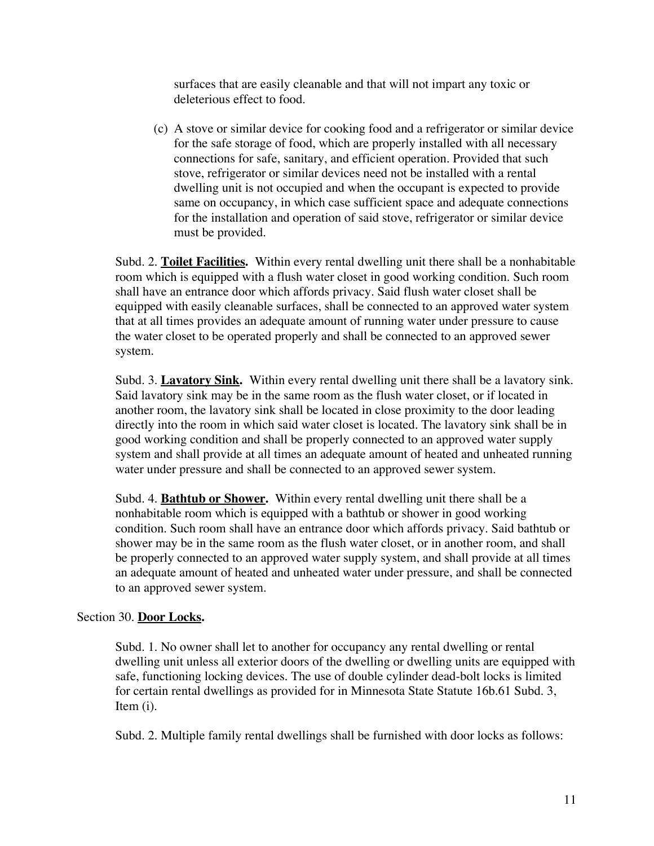surfaces that are easily cleanable and that will not impart any toxic or deleterious effect to food.

(c) A stove or similar device for cooking food and a refrigerator or similar device for the safe storage of food, which are properly installed with all necessary connections for safe, sanitary, and efficient operation. Provided that such stove, refrigerator or similar devices need not be installed with a rental dwelling unit is not occupied and when the occupant is expected to provide same on occupancy, in which case sufficient space and adequate connections for the installation and operation of said stove, refrigerator or similar device must be provided.

Subd. 2. **Toilet Facilities.** Within every rental dwelling unit there shall be a nonhabitable room which is equipped with a flush water closet in good working condition. Such room shall have an entrance door which affords privacy. Said flush water closet shall be equipped with easily cleanable surfaces, shall be connected to an approved water system that at all times provides an adequate amount of running water under pressure to cause the water closet to be operated properly and shall be connected to an approved sewer system.

Subd. 3. **Lavatory Sink.** Within every rental dwelling unit there shall be a lavatory sink. Said lavatory sink may be in the same room as the flush water closet, or if located in another room, the lavatory sink shall be located in close proximity to the door leading directly into the room in which said water closet is located. The lavatory sink shall be in good working condition and shall be properly connected to an approved water supply system and shall provide at all times an adequate amount of heated and unheated running water under pressure and shall be connected to an approved sewer system.

Subd. 4. **Bathtub or Shower.** Within every rental dwelling unit there shall be a nonhabitable room which is equipped with a bathtub or shower in good working condition. Such room shall have an entrance door which affords privacy. Said bathtub or shower may be in the same room as the flush water closet, or in another room, and shall be properly connected to an approved water supply system, and shall provide at all times an adequate amount of heated and unheated water under pressure, and shall be connected to an approved sewer system.

# Section 30. **Door Locks.**

Subd. 1. No owner shall let to another for occupancy any rental dwelling or rental dwelling unit unless all exterior doors of the dwelling or dwelling units are equipped with safe, functioning locking devices. The use of double cylinder dead-bolt locks is limited for certain rental dwellings as provided for in Minnesota State Statute 16b.61 Subd. 3, Item (i).

Subd. 2. Multiple family rental dwellings shall be furnished with door locks as follows: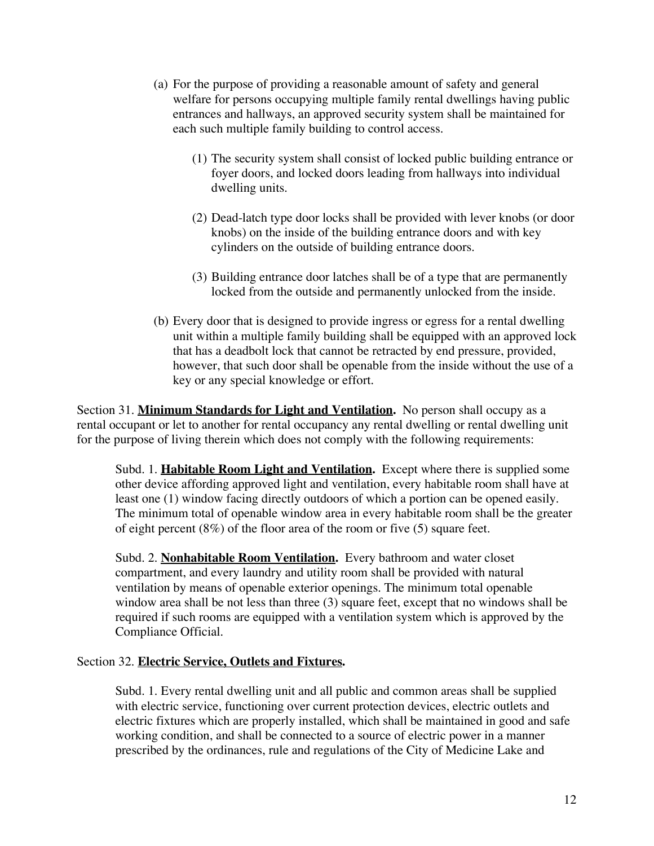- (a) For the purpose of providing a reasonable amount of safety and general welfare for persons occupying multiple family rental dwellings having public entrances and hallways, an approved security system shall be maintained for each such multiple family building to control access.
	- (1) The security system shall consist of locked public building entrance or foyer doors, and locked doors leading from hallways into individual dwelling units.
	- (2) Dead-latch type door locks shall be provided with lever knobs (or door knobs) on the inside of the building entrance doors and with key cylinders on the outside of building entrance doors.
	- (3) Building entrance door latches shall be of a type that are permanently locked from the outside and permanently unlocked from the inside.
- (b) Every door that is designed to provide ingress or egress for a rental dwelling unit within a multiple family building shall be equipped with an approved lock that has a deadbolt lock that cannot be retracted by end pressure, provided, however, that such door shall be openable from the inside without the use of a key or any special knowledge or effort.

Section 31. **Minimum Standards for Light and Ventilation.** No person shall occupy as a rental occupant or let to another for rental occupancy any rental dwelling or rental dwelling unit for the purpose of living therein which does not comply with the following requirements:

Subd. 1. **Habitable Room Light and Ventilation.** Except where there is supplied some other device affording approved light and ventilation, every habitable room shall have at least one (1) window facing directly outdoors of which a portion can be opened easily. The minimum total of openable window area in every habitable room shall be the greater of eight percent (8%) of the floor area of the room or five (5) square feet.

Subd. 2. **Nonhabitable Room Ventilation.** Every bathroom and water closet compartment, and every laundry and utility room shall be provided with natural ventilation by means of openable exterior openings. The minimum total openable window area shall be not less than three (3) square feet, except that no windows shall be required if such rooms are equipped with a ventilation system which is approved by the Compliance Official.

#### Section 32. **Electric Service, Outlets and Fixtures.**

Subd. 1. Every rental dwelling unit and all public and common areas shall be supplied with electric service, functioning over current protection devices, electric outlets and electric fixtures which are properly installed, which shall be maintained in good and safe working condition, and shall be connected to a source of electric power in a manner prescribed by the ordinances, rule and regulations of the City of Medicine Lake and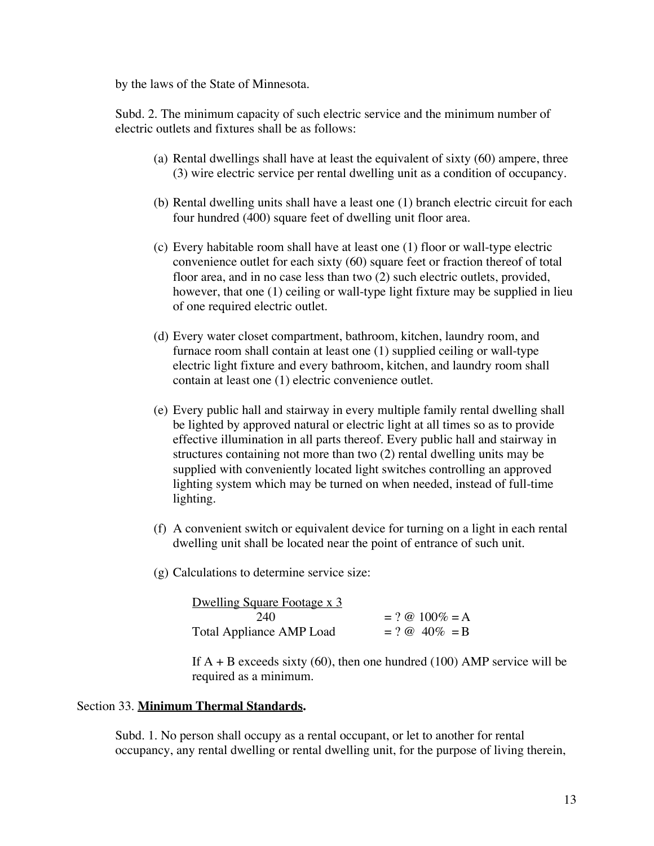by the laws of the State of Minnesota.

Subd. 2. The minimum capacity of such electric service and the minimum number of electric outlets and fixtures shall be as follows:

- (a) Rental dwellings shall have at least the equivalent of sixty (60) ampere, three (3) wire electric service per rental dwelling unit as a condition of occupancy.
- (b) Rental dwelling units shall have a least one (1) branch electric circuit for each four hundred (400) square feet of dwelling unit floor area.
- (c) Every habitable room shall have at least one (1) floor or wall-type electric convenience outlet for each sixty (60) square feet or fraction thereof of total floor area, and in no case less than two (2) such electric outlets, provided, however, that one (1) ceiling or wall-type light fixture may be supplied in lieu of one required electric outlet.
- (d) Every water closet compartment, bathroom, kitchen, laundry room, and furnace room shall contain at least one (1) supplied ceiling or wall-type electric light fixture and every bathroom, kitchen, and laundry room shall contain at least one (1) electric convenience outlet.
- (e) Every public hall and stairway in every multiple family rental dwelling shall be lighted by approved natural or electric light at all times so as to provide effective illumination in all parts thereof. Every public hall and stairway in structures containing not more than two (2) rental dwelling units may be supplied with conveniently located light switches controlling an approved lighting system which may be turned on when needed, instead of full-time lighting.
- (f) A convenient switch or equivalent device for turning on a light in each rental dwelling unit shall be located near the point of entrance of such unit.
- (g) Calculations to determine service size:

| Dwelling Square Footage x 3     |                   |
|---------------------------------|-------------------|
| 240                             | $= ? @ 100\% = A$ |
| <b>Total Appliance AMP Load</b> | $= ? @ 40\% = B$  |

If  $A + B$  exceeds sixty (60), then one hundred (100) AMP service will be required as a minimum.

#### Section 33. **Minimum Thermal Standards.**

Subd. 1. No person shall occupy as a rental occupant, or let to another for rental occupancy, any rental dwelling or rental dwelling unit, for the purpose of living therein,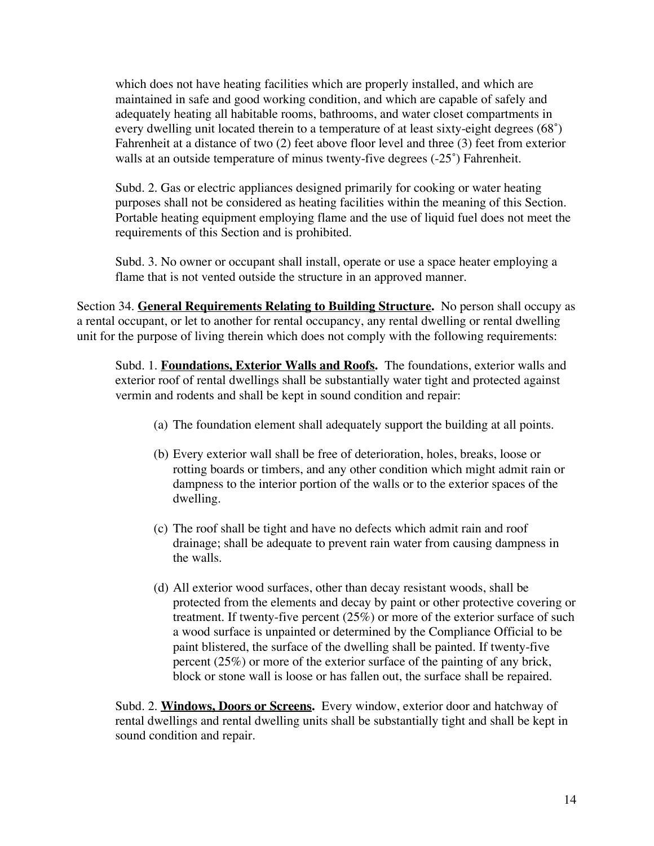which does not have heating facilities which are properly installed, and which are maintained in safe and good working condition, and which are capable of safely and adequately heating all habitable rooms, bathrooms, and water closet compartments in every dwelling unit located therein to a temperature of at least sixty-eight degrees (68˚) Fahrenheit at a distance of two (2) feet above floor level and three (3) feet from exterior walls at an outside temperature of minus twenty-five degrees (-25°) Fahrenheit.

Subd. 2. Gas or electric appliances designed primarily for cooking or water heating purposes shall not be considered as heating facilities within the meaning of this Section. Portable heating equipment employing flame and the use of liquid fuel does not meet the requirements of this Section and is prohibited.

Subd. 3. No owner or occupant shall install, operate or use a space heater employing a flame that is not vented outside the structure in an approved manner.

Section 34. **General Requirements Relating to Building Structure.** No person shall occupy as a rental occupant, or let to another for rental occupancy, any rental dwelling or rental dwelling unit for the purpose of living therein which does not comply with the following requirements:

Subd. 1. **Foundations, Exterior Walls and Roofs.** The foundations, exterior walls and exterior roof of rental dwellings shall be substantially water tight and protected against vermin and rodents and shall be kept in sound condition and repair:

- (a) The foundation element shall adequately support the building at all points.
- (b) Every exterior wall shall be free of deterioration, holes, breaks, loose or rotting boards or timbers, and any other condition which might admit rain or dampness to the interior portion of the walls or to the exterior spaces of the dwelling.
- (c) The roof shall be tight and have no defects which admit rain and roof drainage; shall be adequate to prevent rain water from causing dampness in the walls.
- (d) All exterior wood surfaces, other than decay resistant woods, shall be protected from the elements and decay by paint or other protective covering or treatment. If twenty-five percent (25%) or more of the exterior surface of such a wood surface is unpainted or determined by the Compliance Official to be paint blistered, the surface of the dwelling shall be painted. If twenty-five percent (25%) or more of the exterior surface of the painting of any brick, block or stone wall is loose or has fallen out, the surface shall be repaired.

Subd. 2. **Windows, Doors or Screens.** Every window, exterior door and hatchway of rental dwellings and rental dwelling units shall be substantially tight and shall be kept in sound condition and repair.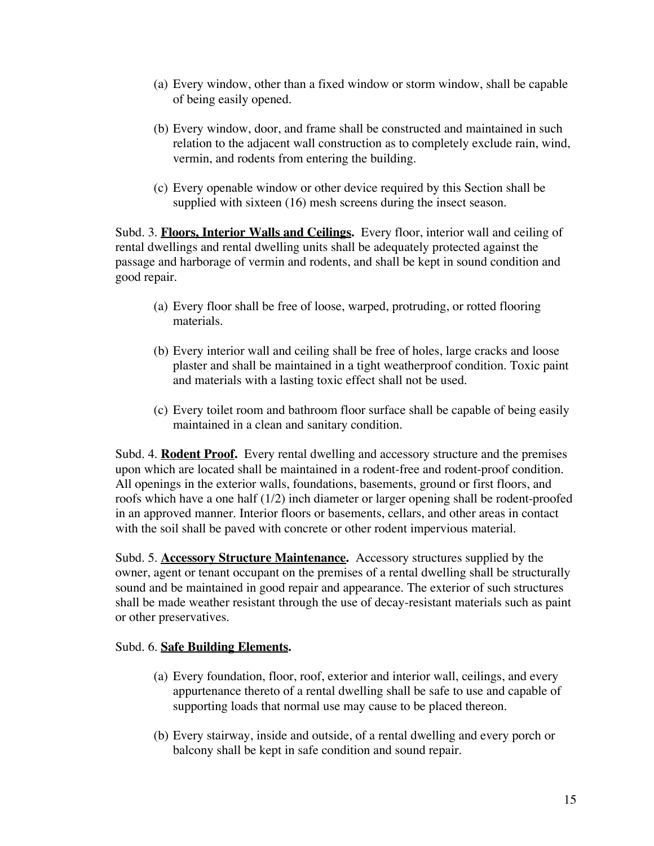- (a) Every window, other than a fixed window or storm window, shall be capable of being easily opened.
- (b) Every window, door, and frame shall be constructed and maintained in such relation to the adjacent wall construction as to completely exclude rain, wind, vermin, and rodents from entering the building.
- (c) Every openable window or other device required by this Section shall be supplied with sixteen (16) mesh screens during the insect season.

Subd. 3. **Floors, Interior Walls and Ceilings.** Every floor, interior wall and ceiling of rental dwellings and rental dwelling units shall be adequately protected against the passage and harborage of vermin and rodents, and shall be kept in sound condition and good repair.

- (a) Every floor shall be free of loose, warped, protruding, or rotted flooring materials.
- (b) Every interior wall and ceiling shall be free of holes, large cracks and loose plaster and shall be maintained in a tight weatherproof condition. Toxic paint and materials with a lasting toxic effect shall not be used.
- (c) Every toilet room and bathroom floor surface shall be capable of being easily maintained in a clean and sanitary condition.

Subd. 4. **Rodent Proof.** Every rental dwelling and accessory structure and the premises upon which are located shall be maintained in a rodent-free and rodent-proof condition. All openings in the exterior walls, foundations, basements, ground or first floors, and roofs which have a one half (1/2) inch diameter or larger opening shall be rodent-proofed in an approved manner. Interior floors or basements, cellars, and other areas in contact with the soil shall be paved with concrete or other rodent impervious material.

Subd. 5. **Accessory Structure Maintenance.** Accessory structures supplied by the owner, agent or tenant occupant on the premises of a rental dwelling shall be structurally sound and be maintained in good repair and appearance. The exterior of such structures shall be made weather resistant through the use of decay-resistant materials such as paint or other preservatives.

# Subd. 6. **Safe Building Elements.**

- (a) Every foundation, floor, roof, exterior and interior wall, ceilings, and every appurtenance thereto of a rental dwelling shall be safe to use and capable of supporting loads that normal use may cause to be placed thereon.
- (b) Every stairway, inside and outside, of a rental dwelling and every porch or balcony shall be kept in safe condition and sound repair.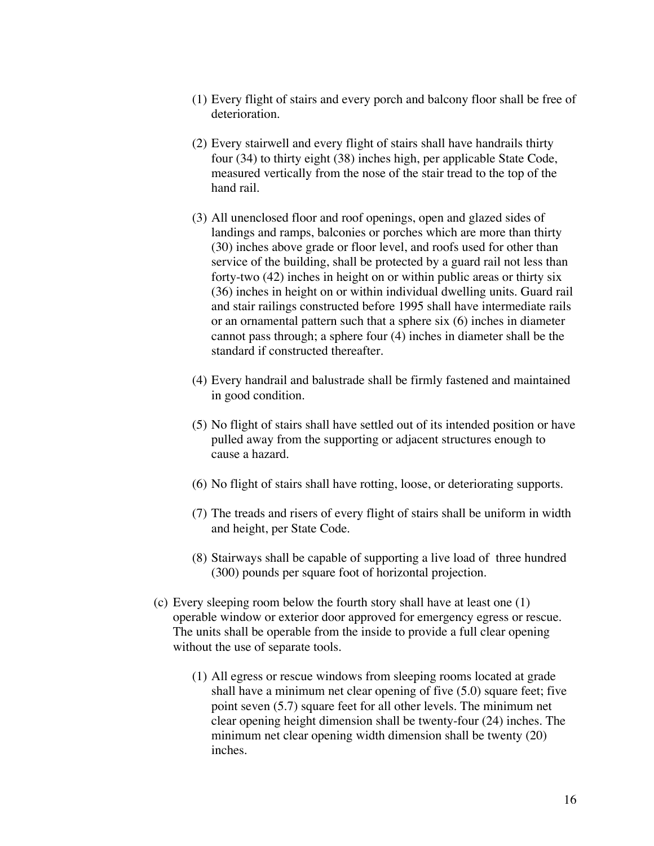- (1) Every flight of stairs and every porch and balcony floor shall be free of deterioration.
- (2) Every stairwell and every flight of stairs shall have handrails thirty four (34) to thirty eight (38) inches high, per applicable State Code, measured vertically from the nose of the stair tread to the top of the hand rail.
- (3) All unenclosed floor and roof openings, open and glazed sides of landings and ramps, balconies or porches which are more than thirty (30) inches above grade or floor level, and roofs used for other than service of the building, shall be protected by a guard rail not less than forty-two (42) inches in height on or within public areas or thirty six (36) inches in height on or within individual dwelling units. Guard rail and stair railings constructed before 1995 shall have intermediate rails or an ornamental pattern such that a sphere six (6) inches in diameter cannot pass through; a sphere four (4) inches in diameter shall be the standard if constructed thereafter.
- (4) Every handrail and balustrade shall be firmly fastened and maintained in good condition.
- (5) No flight of stairs shall have settled out of its intended position or have pulled away from the supporting or adjacent structures enough to cause a hazard.
- (6) No flight of stairs shall have rotting, loose, or deteriorating supports.
- (7) The treads and risers of every flight of stairs shall be uniform in width and height, per State Code.
- (8) Stairways shall be capable of supporting a live load of three hundred (300) pounds per square foot of horizontal projection.
- (c) Every sleeping room below the fourth story shall have at least one (1) operable window or exterior door approved for emergency egress or rescue. The units shall be operable from the inside to provide a full clear opening without the use of separate tools.
	- (1) All egress or rescue windows from sleeping rooms located at grade shall have a minimum net clear opening of five (5.0) square feet; five point seven (5.7) square feet for all other levels. The minimum net clear opening height dimension shall be twenty-four (24) inches. The minimum net clear opening width dimension shall be twenty (20) inches.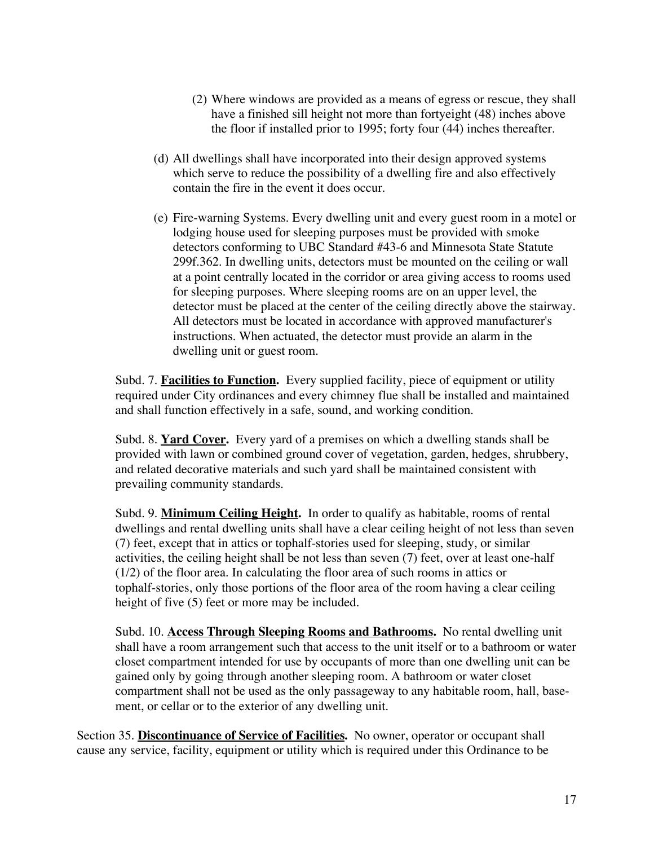- (2) Where windows are provided as a means of egress or rescue, they shall have a finished sill height not more than fortyeight (48) inches above the floor if installed prior to 1995; forty four (44) inches thereafter.
- (d) All dwellings shall have incorporated into their design approved systems which serve to reduce the possibility of a dwelling fire and also effectively contain the fire in the event it does occur.
- (e) Fire-warning Systems. Every dwelling unit and every guest room in a motel or lodging house used for sleeping purposes must be provided with smoke detectors conforming to UBC Standard #43-6 and Minnesota State Statute 299f.362. In dwelling units, detectors must be mounted on the ceiling or wall at a point centrally located in the corridor or area giving access to rooms used for sleeping purposes. Where sleeping rooms are on an upper level, the detector must be placed at the center of the ceiling directly above the stairway. All detectors must be located in accordance with approved manufacturer's instructions. When actuated, the detector must provide an alarm in the dwelling unit or guest room.

Subd. 7. **Facilities to Function.** Every supplied facility, piece of equipment or utility required under City ordinances and every chimney flue shall be installed and maintained and shall function effectively in a safe, sound, and working condition.

Subd. 8. **Yard Cover.** Every yard of a premises on which a dwelling stands shall be provided with lawn or combined ground cover of vegetation, garden, hedges, shrubbery, and related decorative materials and such yard shall be maintained consistent with prevailing community standards.

Subd. 9. **Minimum Ceiling Height.** In order to qualify as habitable, rooms of rental dwellings and rental dwelling units shall have a clear ceiling height of not less than seven (7) feet, except that in attics or tophalf-stories used for sleeping, study, or similar activities, the ceiling height shall be not less than seven (7) feet, over at least one-half (1/2) of the floor area. In calculating the floor area of such rooms in attics or tophalf-stories, only those portions of the floor area of the room having a clear ceiling height of five (5) feet or more may be included.

Subd. 10. **Access Through Sleeping Rooms and Bathrooms.** No rental dwelling unit shall have a room arrangement such that access to the unit itself or to a bathroom or water closet compartment intended for use by occupants of more than one dwelling unit can be gained only by going through another sleeping room. A bathroom or water closet compartment shall not be used as the only passageway to any habitable room, hall, basement, or cellar or to the exterior of any dwelling unit.

Section 35. **Discontinuance of Service of Facilities.** No owner, operator or occupant shall cause any service, facility, equipment or utility which is required under this Ordinance to be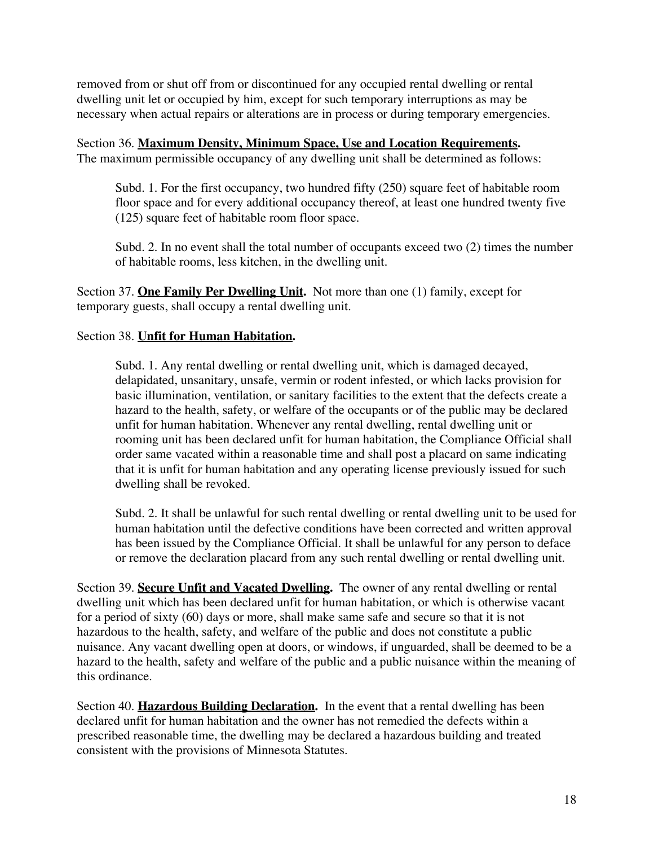removed from or shut off from or discontinued for any occupied rental dwelling or rental dwelling unit let or occupied by him, except for such temporary interruptions as may be necessary when actual repairs or alterations are in process or during temporary emergencies.

Section 36. **Maximum Density, Minimum Space, Use and Location Requirements.** The maximum permissible occupancy of any dwelling unit shall be determined as follows:

Subd. 1. For the first occupancy, two hundred fifty (250) square feet of habitable room floor space and for every additional occupancy thereof, at least one hundred twenty five (125) square feet of habitable room floor space.

Subd. 2. In no event shall the total number of occupants exceed two (2) times the number of habitable rooms, less kitchen, in the dwelling unit.

Section 37. **One Family Per Dwelling Unit.** Not more than one (1) family, except for temporary guests, shall occupy a rental dwelling unit.

#### Section 38. **Unfit for Human Habitation.**

Subd. 1. Any rental dwelling or rental dwelling unit, which is damaged decayed, delapidated, unsanitary, unsafe, vermin or rodent infested, or which lacks provision for basic illumination, ventilation, or sanitary facilities to the extent that the defects create a hazard to the health, safety, or welfare of the occupants or of the public may be declared unfit for human habitation. Whenever any rental dwelling, rental dwelling unit or rooming unit has been declared unfit for human habitation, the Compliance Official shall order same vacated within a reasonable time and shall post a placard on same indicating that it is unfit for human habitation and any operating license previously issued for such dwelling shall be revoked.

Subd. 2. It shall be unlawful for such rental dwelling or rental dwelling unit to be used for human habitation until the defective conditions have been corrected and written approval has been issued by the Compliance Official. It shall be unlawful for any person to deface or remove the declaration placard from any such rental dwelling or rental dwelling unit.

Section 39. **Secure Unfit and Vacated Dwelling.** The owner of any rental dwelling or rental dwelling unit which has been declared unfit for human habitation, or which is otherwise vacant for a period of sixty (60) days or more, shall make same safe and secure so that it is not hazardous to the health, safety, and welfare of the public and does not constitute a public nuisance. Any vacant dwelling open at doors, or windows, if unguarded, shall be deemed to be a hazard to the health, safety and welfare of the public and a public nuisance within the meaning of this ordinance.

Section 40. **Hazardous Building Declaration.** In the event that a rental dwelling has been declared unfit for human habitation and the owner has not remedied the defects within a prescribed reasonable time, the dwelling may be declared a hazardous building and treated consistent with the provisions of Minnesota Statutes.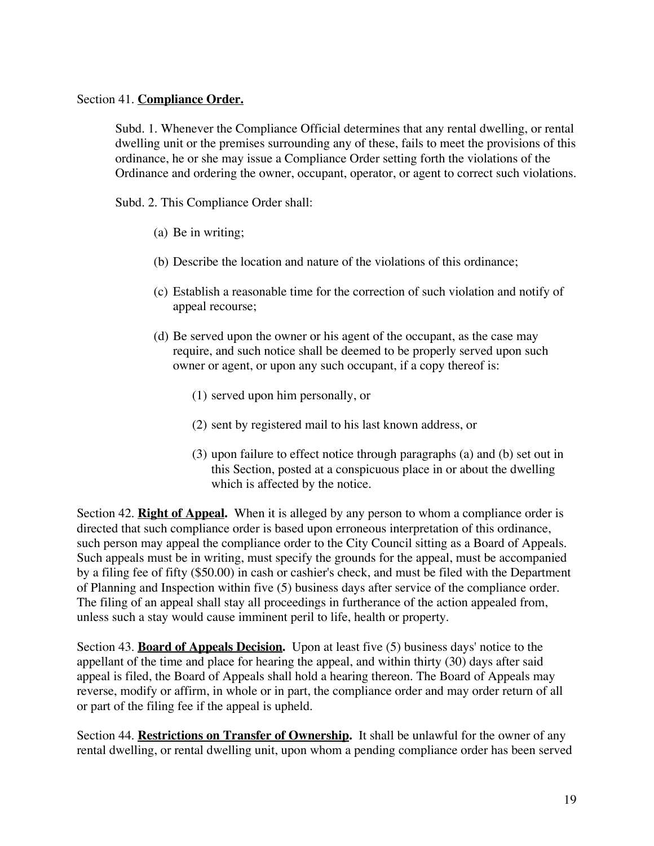#### Section 41. **Compliance Order.**

Subd. 1. Whenever the Compliance Official determines that any rental dwelling, or rental dwelling unit or the premises surrounding any of these, fails to meet the provisions of this ordinance, he or she may issue a Compliance Order setting forth the violations of the Ordinance and ordering the owner, occupant, operator, or agent to correct such violations.

Subd. 2. This Compliance Order shall:

- (a) Be in writing;
- (b) Describe the location and nature of the violations of this ordinance;
- (c) Establish a reasonable time for the correction of such violation and notify of appeal recourse;
- (d) Be served upon the owner or his agent of the occupant, as the case may require, and such notice shall be deemed to be properly served upon such owner or agent, or upon any such occupant, if a copy thereof is:
	- (1) served upon him personally, or
	- (2) sent by registered mail to his last known address, or
	- (3) upon failure to effect notice through paragraphs (a) and (b) set out in this Section, posted at a conspicuous place in or about the dwelling which is affected by the notice.

Section 42. **Right of Appeal.** When it is alleged by any person to whom a compliance order is directed that such compliance order is based upon erroneous interpretation of this ordinance, such person may appeal the compliance order to the City Council sitting as a Board of Appeals. Such appeals must be in writing, must specify the grounds for the appeal, must be accompanied by a filing fee of fifty (\$50.00) in cash or cashier's check, and must be filed with the Department of Planning and Inspection within five (5) business days after service of the compliance order. The filing of an appeal shall stay all proceedings in furtherance of the action appealed from, unless such a stay would cause imminent peril to life, health or property.

Section 43. **Board of Appeals Decision.** Upon at least five (5) business days' notice to the appellant of the time and place for hearing the appeal, and within thirty (30) days after said appeal is filed, the Board of Appeals shall hold a hearing thereon. The Board of Appeals may reverse, modify or affirm, in whole or in part, the compliance order and may order return of all or part of the filing fee if the appeal is upheld.

Section 44. **Restrictions on Transfer of Ownership.** It shall be unlawful for the owner of any rental dwelling, or rental dwelling unit, upon whom a pending compliance order has been served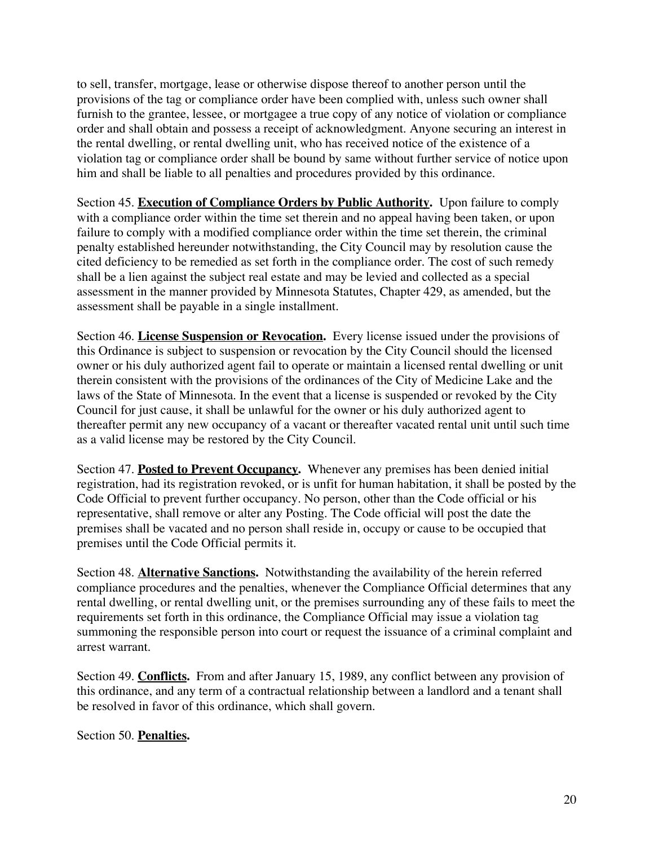to sell, transfer, mortgage, lease or otherwise dispose thereof to another person until the provisions of the tag or compliance order have been complied with, unless such owner shall furnish to the grantee, lessee, or mortgagee a true copy of any notice of violation or compliance order and shall obtain and possess a receipt of acknowledgment. Anyone securing an interest in the rental dwelling, or rental dwelling unit, who has received notice of the existence of a violation tag or compliance order shall be bound by same without further service of notice upon him and shall be liable to all penalties and procedures provided by this ordinance.

Section 45. **Execution of Compliance Orders by Public Authority.** Upon failure to comply with a compliance order within the time set therein and no appeal having been taken, or upon failure to comply with a modified compliance order within the time set therein, the criminal penalty established hereunder notwithstanding, the City Council may by resolution cause the cited deficiency to be remedied as set forth in the compliance order. The cost of such remedy shall be a lien against the subject real estate and may be levied and collected as a special assessment in the manner provided by Minnesota Statutes, Chapter 429, as amended, but the assessment shall be payable in a single installment.

Section 46. **License Suspension or Revocation.** Every license issued under the provisions of this Ordinance is subject to suspension or revocation by the City Council should the licensed owner or his duly authorized agent fail to operate or maintain a licensed rental dwelling or unit therein consistent with the provisions of the ordinances of the City of Medicine Lake and the laws of the State of Minnesota. In the event that a license is suspended or revoked by the City Council for just cause, it shall be unlawful for the owner or his duly authorized agent to thereafter permit any new occupancy of a vacant or thereafter vacated rental unit until such time as a valid license may be restored by the City Council.

Section 47. **Posted to Prevent Occupancy.** Whenever any premises has been denied initial registration, had its registration revoked, or is unfit for human habitation, it shall be posted by the Code Official to prevent further occupancy. No person, other than the Code official or his representative, shall remove or alter any Posting. The Code official will post the date the premises shall be vacated and no person shall reside in, occupy or cause to be occupied that premises until the Code Official permits it.

Section 48. **Alternative Sanctions.** Notwithstanding the availability of the herein referred compliance procedures and the penalties, whenever the Compliance Official determines that any rental dwelling, or rental dwelling unit, or the premises surrounding any of these fails to meet the requirements set forth in this ordinance, the Compliance Official may issue a violation tag summoning the responsible person into court or request the issuance of a criminal complaint and arrest warrant.

Section 49. **Conflicts.** From and after January 15, 1989, any conflict between any provision of this ordinance, and any term of a contractual relationship between a landlord and a tenant shall be resolved in favor of this ordinance, which shall govern.

# Section 50. **Penalties.**